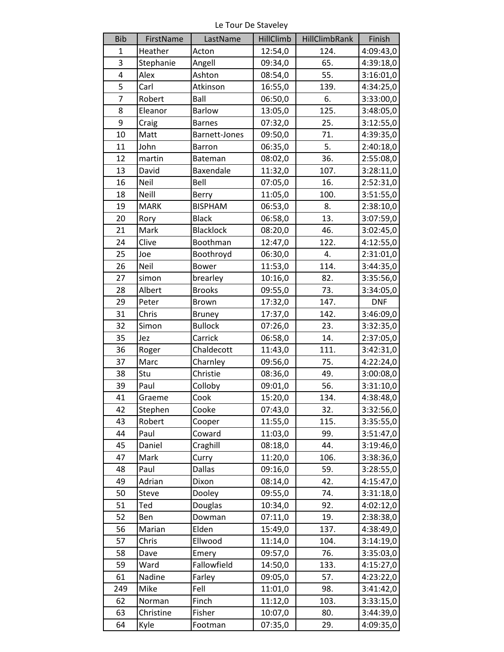Le Tour De Staveley

| <b>Bib</b> | FirstName   | LastName       | <b>HillClimb</b> | <b>HillClimbRank</b> | Finish     |
|------------|-------------|----------------|------------------|----------------------|------------|
| 1          | Heather     | Acton          | 12:54,0          | 124.                 | 4:09:43,0  |
| 3          | Stephanie   | Angell         | 09:34,0          | 65.                  | 4:39:18,0  |
| 4          | Alex        | Ashton         | 08:54,0          | 55.                  | 3:16:01,0  |
| 5          | Carl        | Atkinson       | 16:55,0          | 139.                 | 4:34:25,0  |
| 7          | Robert      | Ball           | 06:50,0          | 6.                   | 3:33:00,0  |
| 8          | Eleanor     | <b>Barlow</b>  | 13:05,0          | 125.                 | 3:48:05,0  |
| 9          | Craig       | <b>Barnes</b>  | 07:32,0          | 25.                  | 3:12:55,0  |
| 10         | Matt        | Barnett-Jones  | 09:50,0          | 71.                  | 4:39:35,0  |
| 11         | John        | Barron         | 06:35,0          | 5.                   | 2:40:18,0  |
| 12         | martin      | Bateman        | 08:02,0          | 36.                  | 2:55:08,0  |
| 13         | David       | Baxendale      | 11:32,0          | 107.                 | 3:28:11,0  |
| 16         | Neil        | Bell           | 07:05,0          | 16.                  | 2:52:31,0  |
| 18         | Neill       | Berry          | 11:05,0          | 100.                 | 3:51:55,0  |
| 19         | <b>MARK</b> | <b>BISPHAM</b> | 06:53,0          | 8.                   | 2:38:10,0  |
| 20         | Rory        | <b>Black</b>   | 06:58,0          | 13.                  | 3:07:59,0  |
| 21         | Mark        | Blacklock      | 08:20,0          | 46.                  | 3:02:45,0  |
| 24         | Clive       | Boothman       | 12:47,0          | 122.                 | 4:12:55,0  |
| 25         | Joe         | Boothroyd      | 06:30,0          | 4.                   | 2:31:01,0  |
| 26         | Neil        | <b>Bower</b>   | 11:53,0          | 114.                 | 3:44:35,0  |
| 27         | simon       | brearley       | 10:16,0          | 82.                  | 3:35:56,0  |
| 28         | Albert      | <b>Brooks</b>  | 09:55,0          | 73.                  | 3:34:05,0  |
| 29         | Peter       | Brown          | 17:32,0          | 147.                 | <b>DNF</b> |
| 31         | Chris       | <b>Bruney</b>  | 17:37,0          | 142.                 | 3:46:09,0  |
| 32         | Simon       | <b>Bullock</b> | 07:26,0          | 23.                  | 3:32:35,0  |
| 35         | Jez         | Carrick        | 06:58,0          | 14.                  | 2:37:05,0  |
| 36         | Roger       | Chaldecott     | 11:43,0          | 111.                 | 3:42:31,0  |
| 37         | Marc        | Charnley       | 09:56,0          | 75.                  | 4:22:24,0  |
| 38         | Stu         | Christie       | 08:36,0          | 49.                  | 3:00:08,0  |
| 39         | Paul        | Colloby        | 09:01,0          | 56.                  | 3:31:10,0  |
| 41         | Graeme      | Cook           | 15:20,0          | 134.                 | 4:38:48,0  |
| 42         | Stephen     | Cooke          | 07:43,0          | 32.                  | 3:32:56,0  |
| 43         | Robert      | Cooper         | 11:55,0          | 115.                 | 3:35:55,0  |
| 44         | Paul        | Coward         | 11:03,0          | 99.                  | 3:51:47,0  |
| 45         | Daniel      | Craghill       | 08:18,0          | 44.                  | 3:19:46,0  |
| 47         | Mark        | Curry          | 11:20,0          | 106.                 | 3:38:36,0  |
| 48         | Paul        | Dallas         | 09:16,0          | 59.                  | 3:28:55,0  |
| 49         | Adrian      | Dixon          | 08:14,0          | 42.                  | 4:15:47,0  |
| 50         | Steve       | Dooley         | 09:55,0          | 74.                  | 3:31:18,0  |
| 51         | Ted         | Douglas        | 10:34,0          | 92.                  | 4:02:12,0  |
| 52         | Ben         | Dowman         | 07:11,0          | 19.                  | 2:38:38,0  |
| 56         | Marian      | Elden          | 15:49,0          | 137.                 | 4:38:49,0  |
| 57         | Chris       | Ellwood        | 11:14,0          | 104.                 | 3:14:19,0  |
| 58         | Dave        | Emery          | 09:57,0          | 76.                  | 3:35:03,0  |
| 59         | Ward        | Fallowfield    | 14:50,0          | 133.                 | 4:15:27,0  |
| 61         | Nadine      | Farley         | 09:05,0          | 57.                  | 4:23:22,0  |
| 249        | Mike        | Fell           | 11:01,0          | 98.                  | 3:41:42,0  |
| 62         | Norman      | Finch          | 11:12,0          | 103.                 | 3:33:15,0  |
| 63         | Christine   | Fisher         | 10:07,0          | 80.                  | 3:44:39,0  |
| 64         | Kyle        | Footman        | 07:35,0          | 29.                  | 4:09:35,0  |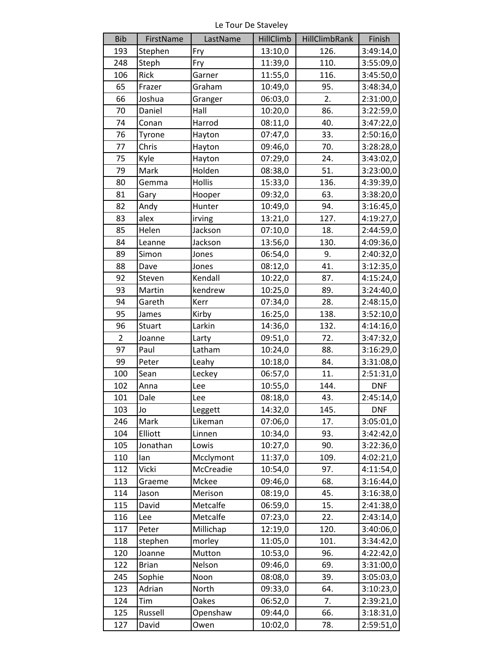Le Tour De Staveley

| <b>Bib</b>     | FirstName    | LastName  | <b>HillClimb</b> | HillClimbRank | Finish     |
|----------------|--------------|-----------|------------------|---------------|------------|
| 193            | Stephen      | Fry       | 13:10,0          | 126.          | 3:49:14,0  |
| 248            | Steph        | Fry       | 11:39,0          | 110.          | 3:55:09,0  |
| 106            | Rick         | Garner    | 11:55,0          | 116.          | 3:45:50,0  |
| 65             | Frazer       | Graham    | 10:49,0          | 95.           | 3:48:34,0  |
| 66             | Joshua       | Granger   | 06:03,0          | 2.            | 2:31:00,0  |
| 70             | Daniel       | Hall      | 10:20,0          | 86.           | 3:22:59,0  |
| 74             | Conan        | Harrod    | 08:11,0          | 40.           | 3:47:22,0  |
| 76             | Tyrone       | Hayton    | 07:47,0          | 33.           | 2:50:16,0  |
| 77             | Chris        | Hayton    | 09:46,0          | 70.           | 3:28:28,0  |
| 75             | Kyle         | Hayton    | 07:29,0          | 24.           | 3:43:02,0  |
| 79             | Mark         | Holden    | 08:38,0          | 51.           | 3:23:00,0  |
| 80             | Gemma        | Hollis    | 15:33,0          | 136.          | 4:39:39,0  |
| 81             | Gary         | Hooper    | 09:32,0          | 63.           | 3:38:20,0  |
| 82             | Andy         | Hunter    | 10:49,0          | 94.           | 3:16:45,0  |
| 83             | alex         | irving    | 13:21,0          | 127.          | 4:19:27,0  |
| 85             | Helen        | Jackson   | 07:10,0          | 18.           | 2:44:59,0  |
| 84             | Leanne       | Jackson   | 13:56,0          | 130.          | 4:09:36,0  |
| 89             | Simon        | Jones     | 06:54,0          | 9.            | 2:40:32,0  |
| 88             | Dave         | Jones     | 08:12,0          | 41.           | 3:12:35,0  |
| 92             | Steven       | Kendall   | 10:22,0          | 87.           | 4:15:24,0  |
| 93             | Martin       | kendrew   | 10:25,0          | 89.           | 3:24:40,0  |
| 94             | Gareth       | Kerr      | 07:34,0          | 28.           | 2:48:15,0  |
| 95             | James        | Kirby     | 16:25,0          | 138.          | 3:52:10,0  |
| 96             | Stuart       | Larkin    | 14:36,0          | 132.          | 4:14:16,0  |
| $\overline{2}$ | Joanne       | Larty     | 09:51,0          | 72.           | 3:47:32,0  |
| 97             | Paul         | Latham    | 10:24,0          | 88.           | 3:16:29,0  |
| 99             | Peter        | Leahy     | 10:18,0          | 84.           | 3:31:08,0  |
| 100            | Sean         | Leckey    | 06:57,0          | 11.           | 2:51:31,0  |
| 102            | Anna         | Lee       | 10:55,0          | 144.          | <b>DNF</b> |
| 101            | Dale         | Lee       | 08:18,0          | 43.           | 2:45:14,0  |
| 103            | Jo           | Leggett   | 14:32,0          | 145.          | <b>DNF</b> |
| 246            | Mark         | Likeman   | 07:06,0          | 17.           | 3:05:01,0  |
| 104            | Elliott      | Linnen    | 10:34,0          | 93.           | 3:42:42,0  |
| 105            | Jonathan     | Lowis     | 10:27,0          | 90.           | 3:22:36,0  |
| 110            | lan          | Mcclymont | 11:37,0          | 109.          | 4:02:21,0  |
| 112            | Vicki        | McCreadie | 10:54,0          | 97.           | 4:11:54,0  |
| 113            | Graeme       | Mckee     | 09:46,0          | 68.           | 3:16:44,0  |
| 114            | Jason        | Merison   | 08:19,0          | 45.           | 3:16:38,0  |
| 115            | David        | Metcalfe  | 06:59,0          | 15.           | 2:41:38,0  |
| 116            | Lee          | Metcalfe  | 07:23,0          | 22.           | 2:43:14,0  |
| 117            | Peter        | Millichap | 12:19,0          | 120.          | 3:40:06,0  |
| 118            | stephen      | morley    | 11:05,0          | 101.          | 3:34:42,0  |
| 120            | Joanne       | Mutton    | 10:53,0          | 96.           | 4:22:42,0  |
| 122            | <b>Brian</b> | Nelson    | 09:46,0          | 69.           | 3:31:00,0  |
| 245            | Sophie       | Noon      | 08:08,0          | 39.           | 3:05:03,0  |
| 123            | Adrian       | North     | 09:33,0          | 64.           | 3:10:23,0  |
| 124            | Tim          | Oakes     | 06:52,0          | 7.            | 2:39:21,0  |
| 125            | Russell      | Openshaw  | 09:44,0          | 66.           | 3:18:31,0  |
| 127            | David        | Owen      | 10:02,0          | 78.           | 2:59:51,0  |